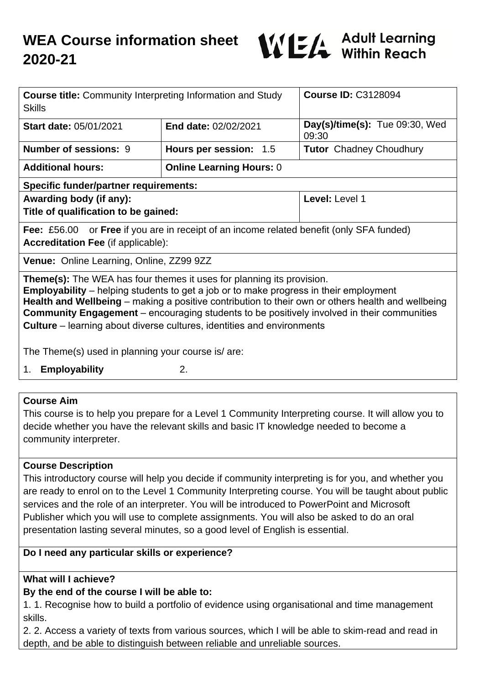

| <b>Course title: Community Interpreting Information and Study</b><br><b>Skills</b>                                                                                                                                                                                                                                                                                                                                                                                      |                                 | <b>Course ID: C3128094</b>              |
|-------------------------------------------------------------------------------------------------------------------------------------------------------------------------------------------------------------------------------------------------------------------------------------------------------------------------------------------------------------------------------------------------------------------------------------------------------------------------|---------------------------------|-----------------------------------------|
| Start date: 05/01/2021                                                                                                                                                                                                                                                                                                                                                                                                                                                  | End date: 02/02/2021            | Day(s)/time(s): Tue 09:30, Wed<br>09:30 |
| <b>Number of sessions: 9</b>                                                                                                                                                                                                                                                                                                                                                                                                                                            | Hours per session: 1.5          | <b>Tutor</b> Chadney Choudhury          |
| <b>Additional hours:</b>                                                                                                                                                                                                                                                                                                                                                                                                                                                | <b>Online Learning Hours: 0</b> |                                         |
| <b>Specific funder/partner requirements:</b>                                                                                                                                                                                                                                                                                                                                                                                                                            |                                 |                                         |
| Awarding body (if any):<br>Title of qualification to be gained:                                                                                                                                                                                                                                                                                                                                                                                                         |                                 | Level: Level 1                          |
| <b>Fee:</b> £56.00 or <b>Free</b> if you are in receipt of an income related benefit (only SFA funded)<br><b>Accreditation Fee (if applicable):</b>                                                                                                                                                                                                                                                                                                                     |                                 |                                         |
| Venue: Online Learning, Online, ZZ99 9ZZ                                                                                                                                                                                                                                                                                                                                                                                                                                |                                 |                                         |
| <b>Theme(s):</b> The WEA has four themes it uses for planning its provision.<br><b>Employability</b> – helping students to get a job or to make progress in their employment<br>Health and Wellbeing – making a positive contribution to their own or others health and wellbeing<br><b>Community Engagement</b> – encouraging students to be positively involved in their communities<br><b>Culture</b> – learning about diverse cultures, identities and environments |                                 |                                         |
| The Theme(s) used in planning your course is/are:                                                                                                                                                                                                                                                                                                                                                                                                                       |                                 |                                         |
| <b>Employability</b><br>1.                                                                                                                                                                                                                                                                                                                                                                                                                                              | 2.                              |                                         |
|                                                                                                                                                                                                                                                                                                                                                                                                                                                                         |                                 |                                         |
| <b>Course Aim</b>                                                                                                                                                                                                                                                                                                                                                                                                                                                       |                                 |                                         |

This course is to help you prepare for a Level 1 Community Interpreting course. It will allow you to decide whether you have the relevant skills and basic IT knowledge needed to become a community interpreter.

## **Course Description**

This introductory course will help you decide if community interpreting is for you, and whether you are ready to enrol on to the Level 1 Community Interpreting course. You will be taught about public services and the role of an interpreter. You will be introduced to PowerPoint and Microsoft Publisher which you will use to complete assignments. You will also be asked to do an oral presentation lasting several minutes, so a good level of English is essential.

## **Do I need any particular skills or experience?**

## **What will I achieve?**

## **By the end of the course I will be able to:**

1. 1. Recognise how to build a portfolio of evidence using organisational and time management skills.

2. 2. Access a variety of texts from various sources, which I will be able to skim-read and read in depth, and be able to distinguish between reliable and unreliable sources.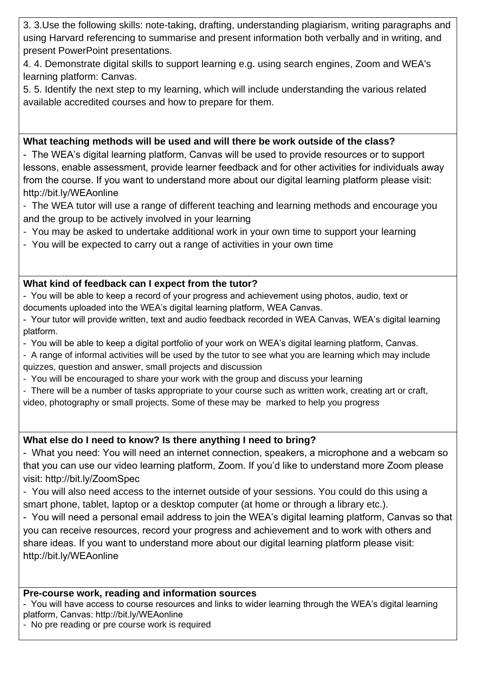3. 3.Use the following skills: note-taking, drafting, understanding plagiarism, writing paragraphs and using Harvard referencing to summarise and present information both verbally and in writing, and present PowerPoint presentations.

4. 4. Demonstrate digital skills to support learning e.g. using search engines, Zoom and WEA's learning platform: Canvas.

5. 5. Identify the next step to my learning, which will include understanding the various related available accredited courses and how to prepare for them.

## **What teaching methods will be used and will there be work outside of the class?**

- The WEA's digital learning platform, Canvas will be used to provide resources or to support lessons, enable assessment, provide learner feedback and for other activities for individuals away from the course. If you want to understand more about our digital learning platform please visit: http://bit.ly/WEAonline

- The WEA tutor will use a range of different teaching and learning methods and encourage you and the group to be actively involved in your learning
- You may be asked to undertake additional work in your own time to support your learning
- You will be expected to carry out a range of activities in your own time

# **What kind of feedback can I expect from the tutor?**

- You will be able to keep a record of your progress and achievement using photos, audio, text or documents uploaded into the WEA's digital learning platform, WEA Canvas.
- Your tutor will provide written, text and audio feedback recorded in WEA Canvas, WEA's digital learning platform.
- You will be able to keep a digital portfolio of your work on WEA's digital learning platform, Canvas.
- A range of informal activities will be used by the tutor to see what you are learning which may include quizzes, question and answer, small projects and discussion
- You will be encouraged to share your work with the group and discuss your learning
- There will be a number of tasks appropriate to your course such as written work, creating art or craft,
- video, photography or small projects. Some of these may be marked to help you progress

# **What else do I need to know? Is there anything I need to bring?**

- What you need: You will need an internet connection, speakers, a microphone and a webcam so that you can use our video learning platform, Zoom. If you'd like to understand more Zoom please visit: http://bit.ly/ZoomSpec

- You will also need access to the internet outside of your sessions. You could do this using a smart phone, tablet, laptop or a desktop computer (at home or through a library etc.).

- You will need a personal email address to join the WEA's digital learning platform, Canvas so that you can receive resources, record your progress and achievement and to work with others and share ideas. If you want to understand more about our digital learning platform please visit: http://bit.ly/WEAonline

## **Pre-course work, reading and information sources**

- You will have access to course resources and links to wider learning through the WEA's digital learning platform, Canvas: http://bit.ly/WEAonline

- No pre reading or pre course work is required